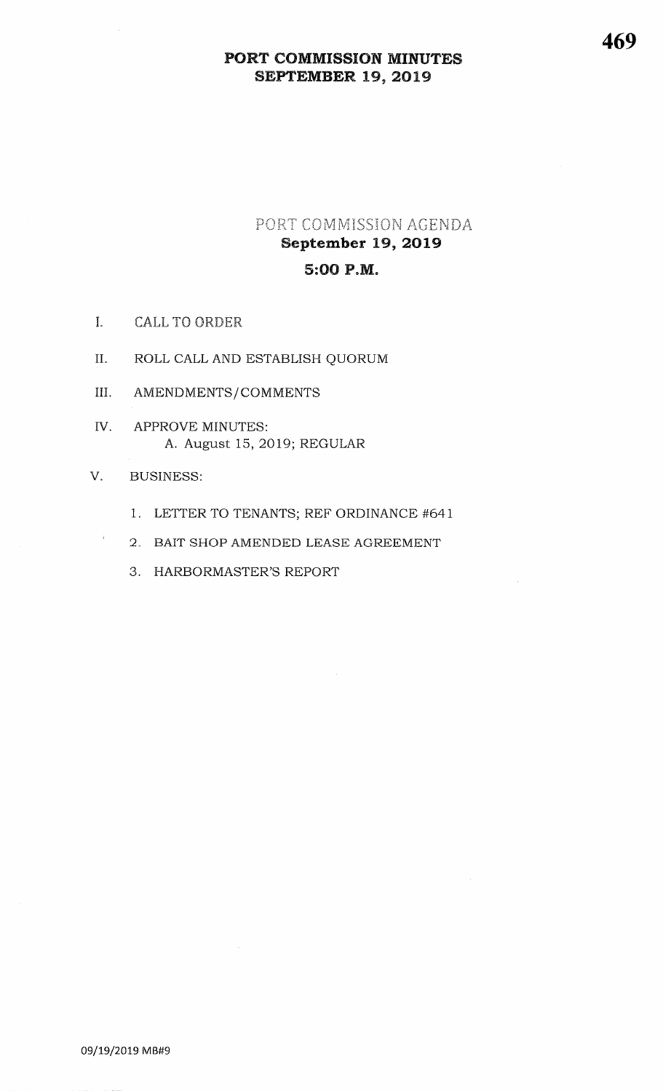## PORT COMMISSION AGENDA September 19, 2o195:0O P.M.

- I. CALL TO ORDER
- II. ROLL CALL AND ESTABLISH QUORUM
- III. AMENDMENTS/COMMENTS
- APPROVE MINUTES: A. August 15, 2OI9; REGULARIV.

### V. BUSINESS:

 $\hat{\imath}$ 

- 1. LETTER TO TENANTS; REF ORDINANCE #641
- 2. BAIT SHOP AMENDED LEASE AGREEMENT
- 3. HARBORMASTER'S REPORT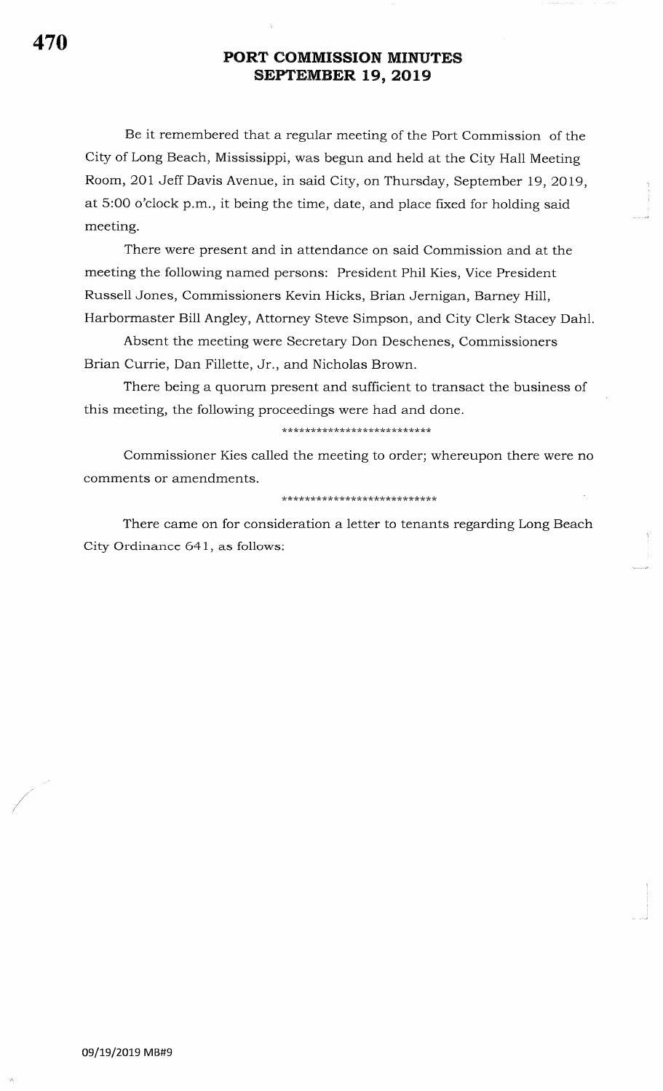Be it remembered that a regular meeting of the Port Commission of the City of Long Beach, Mississippi, was begun and held at the City Hall Meeting Room, 2OI Jeff Davis Avenue, in said City, on Thursday, September 19, 2OI9, at 5:00 o'clock p.m., it being the time, date, and place fixed for holding said meeting.

There were present and in attendance on said Commission and at the meeting the following named persons: President Phil Kies, Vice President Russell Jones, Commissioners Kevin Hicks, Brian Jernigan, Barney Hill, Harbormaster Bill Angley, Attorney Steve Simpson, and City Clerk Stacey Dahl

Absent the meeting were Secretary Don Deschenes, Commissioners Brian Currie, Dan Fillette, Jr., and Nicholas Brown.

There being a quorum present and sufficient to transact the business of this meeting, the following proceedings were had and done.

\*\*\* tr \*rl\*\* \*rk\*\*\* rr \* \*\*\*\*\*\*\*\*\*\*\*

Commissioner Kies called the meeting to order; whereupon there were no comments or amendments.

\*\*\*\*\*\*\*\*\*\*\*\*\*\*\*\*\*\*\*\*\*\*\*\*\*\*\*

There came on for consideration a letter to tenants regarding Long Beach City Ordinance 641, as follows: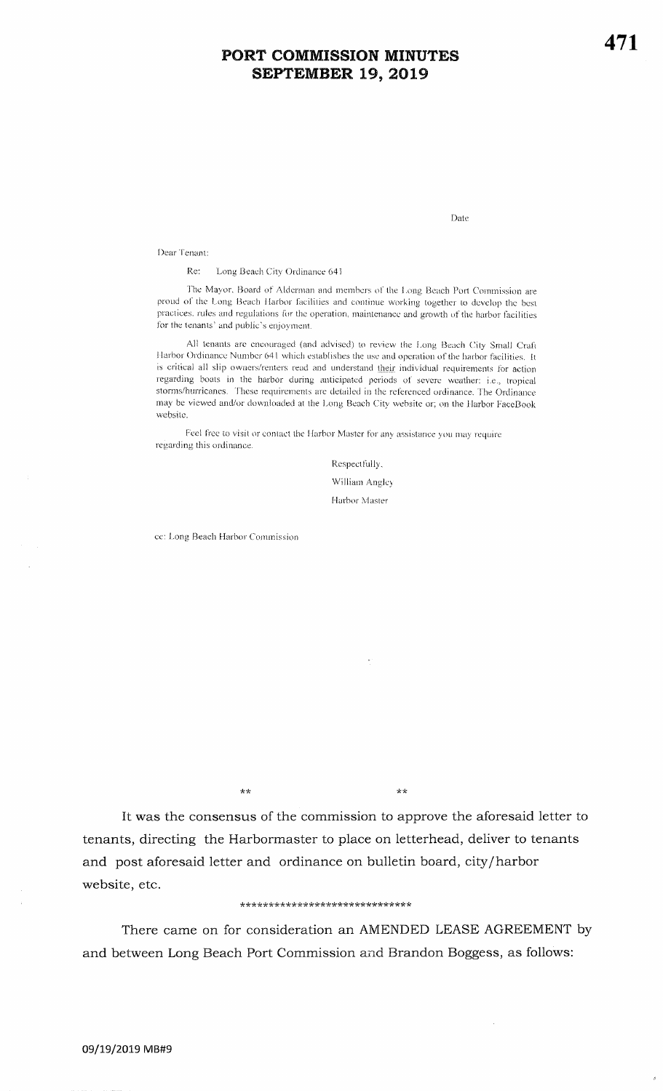Date

Dear Tenant:

Re: Long Beach City Ordinance 641

The Mayor, Board of Alderman and members of the Long Beach Port Commission are proud of the Long Beach Harbor facilities and continue working together to develop the best practices, rules and regulations for the operation, maintenance and growth of the harbor facilities for the tenants' and public's enjoyment.

All tenants are encouraged (and advised) to review the Long Beach City Small Craft Harbor Ordinance Number 641 which establishes the use and operation of the harbor facilities. It is critical all slip owners/renters read and understand their individual requirements for action regarding boats in the harbor during anticipated periods of severe weather: i.e., tropical storms/hurricanes. These requirements are detailed in the referenced ordinance. The Ordinance may be viewed and/or downloaded at the Long Beach City website or; on the Harbor FaceBook website.

Feel free to visit or contact the Harbor Master for any assistance you may require regarding this ordinance.

> Respectfully, William Angley Harbor Master

ce: Long Beach Harbor Commission

 $++$ 

 $\star\star$ 

It was the consensus of the commission to approve the aforesaid letter to tenants, directing the Harbormaster to place on letterhead, deliver to tenants and post aforesaid letter and ordinance on bulletin board, city/harbor website, etc.

#### \*\*\*\*\*\*\*\*\*\*\*\*\*\*\*\*\*\*\*\*\*\*\*\*\*\*\*\*\*

There came on for consideration an AMENDED LEASE AGREEMENT by and between Long Beach Port Commission and Brandon Boggess, as follows: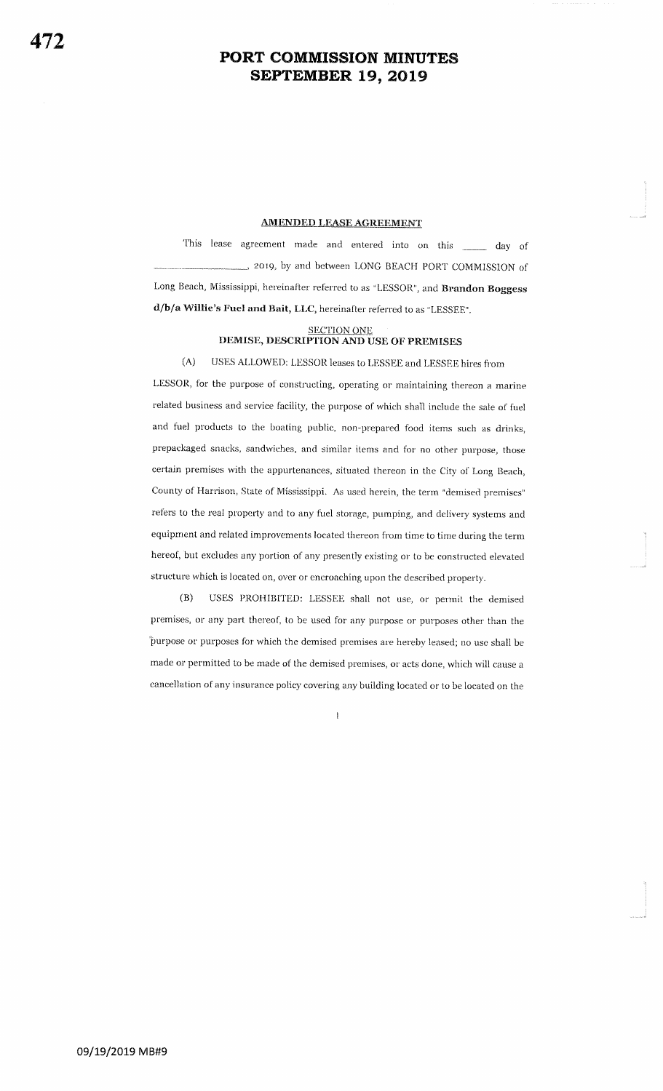### **AMENDED LEASE AGREEMENT**

This lease agreement made and entered into on this day of 2019, by and between LONG BEACH PORT COMMISSION of Long Beach, Mississippi, hereinafter referred to as "LESSOR", and Brandon Boggess d/b/a Willie's Fuel and Bait, LLC, hereinafter referred to as "LESSEE".

# SECTION ONE DEMISE, DESCRIPTION AND USE OF PREMISES

#### $(A)$ USES ALLOWED: LESSOR leases to LESSEE and LESSEE hires from

LESSOR, for the purpose of constructing, operating or maintaining thereon a marine related business and service facility, the purpose of which shall include the sale of fuel and fuel products to the boating public, non-prepared food items such as drinks, prepackaged snacks, sandwiches, and similar items and for no other purpose, those certain premises with the appurtenances, situated thereon in the City of Long Beach, County of Harrison, State of Mississippi. As used herein, the term "demised premises" refers to the real property and to any fuel storage, pumping, and delivery systems and equipment and related improvements located thereon from time to time during the term hereof, but excludes any portion of any presently existing or to be constructed elevated structure which is located on, over or encroaching upon the described property.

 $(B)$ USES PROHIBITED: LESSEE shall not use, or permit the demised premises, or any part thereof, to be used for any purpose or purposes other than the purpose or purposes for which the demised premises are hereby leased; no use shall be made or permitted to be made of the demised premises, or acts done, which will cause a cancellation of any insurance policy covering any building located or to be located on the

 $\overline{1}$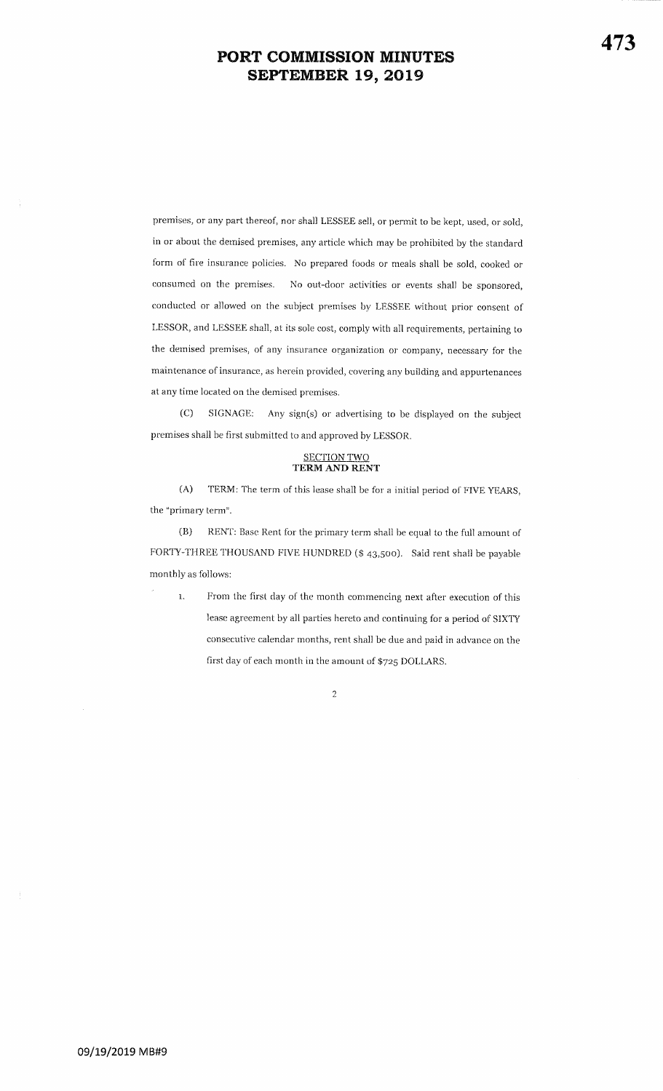premises, or any part thereof, nor shall LESSEE sell, or permit to be kept, used, or sold,in or about the demised premises, any article which may be prohibited by the standardform of fire insurance policies. No prepared foods or meals shall be sold, cooked orconsumed on the premises. No out-door activities or events shall be sponsored,conducted or allowed on the subject premises by LESSEE without prior consent ofLESSOR, and LESSEE shall, at its sole cost, comply with all requirements, pertaining to the dernised premises, of any insurance organization or conrpany, necessary for themaintenance of insurance, as herein provided, covering any building and appurtenances at any time located on the demised premises.

(C) SIGNAGE: Any sign(s) or advertising to be displayed on the subject premises shall be first submitted to and approved by LESSOR.

## SECTION TWO<br>TERM AND RENT

(A) TERM: The term of this lease shall be for a initial period of FIVE YEARS, the "primary term".

(B) RENT: Base Rent for the primary term shall be equal to the full amount of FORTY-THREE THOUSAND FIVE HUNDRED (\$ 43,500). Said rent shall be payable monthly as follows:

1. From the first day of the month commencing next after execution of this lease agreement by all parties hereto and continuing for a period of SIXTYconsecutive calendar months, rent shall be due and paid in advance on thefirst day of each month in the amount of \$725 DOLLARS.  $\,$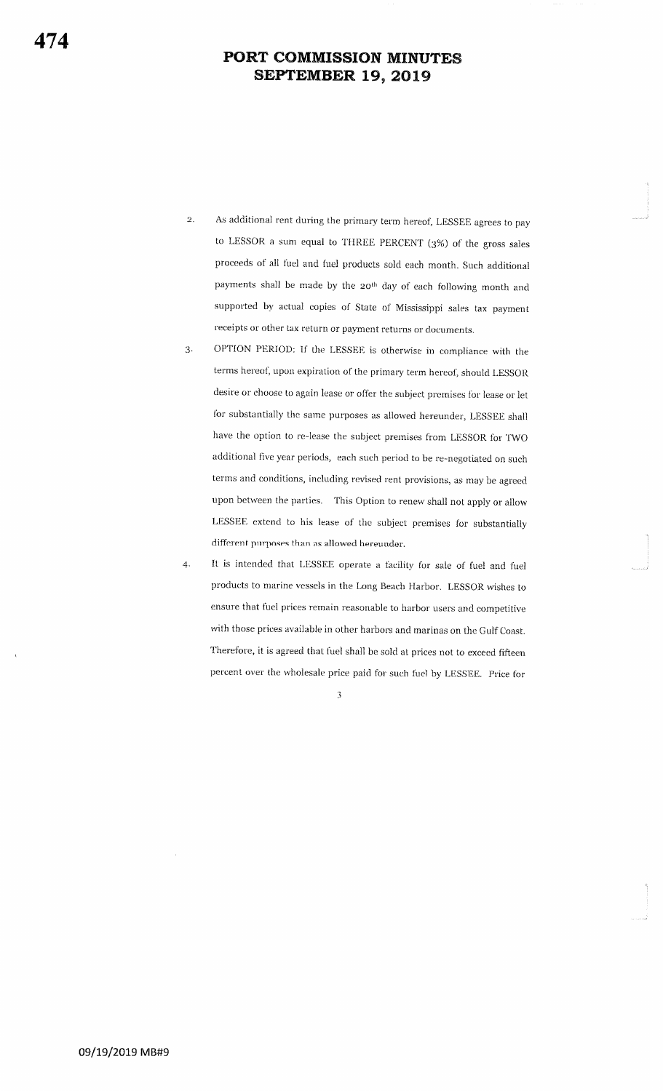- $\overline{2}$ . As additional rent during the primary term hereof, LESSEE agrees to pay to LESSOR a sum equal to THREE PERCENT  $(3%)$  of the gross sales proceeds of all fuel and fuel products sold each month. Such additional payments shall be made by the 20<sup>th</sup> day of each following month and supported by actual copies of State of Mississippi sales tax payment receipts or other tax return or payment returns or documents.
- 3. OPTION PERIOD: If the LESSEE is otherwise in compliance with the terms hereof, upon expiration of the primary term hereof, should LESSOR desire or choose to again lease or offer the subject premises for lease or let for substantially the same purposes as allowed hereunder, LESSEE shall have the option to re-lease the subject premises from LESSOR for TWO additional five year periods, each such period to be re-negotiated on such terms and conditions, including revised rent provisions, as may be agreed upon between the parties. This Option to renew shall not apply or allow LESSEE extend to his lease of the subject premises for substantially different purposes than as allowed hereunder.
- It is intended that LESSEE operate a facility for sale of fuel and fuel products to marine vessels in the Long Beach Harbor. LESSOR wishes to ensure that fuel prices remain reasonable to harbor users and competitive with those prices available in other harbors and marinas on the Gulf Coast. Therefore, it is agreed that fuel shall be sold at prices not to exceed fifteen percent over the wholesale price paid for such fuel by LESSEE. Price for 4.

3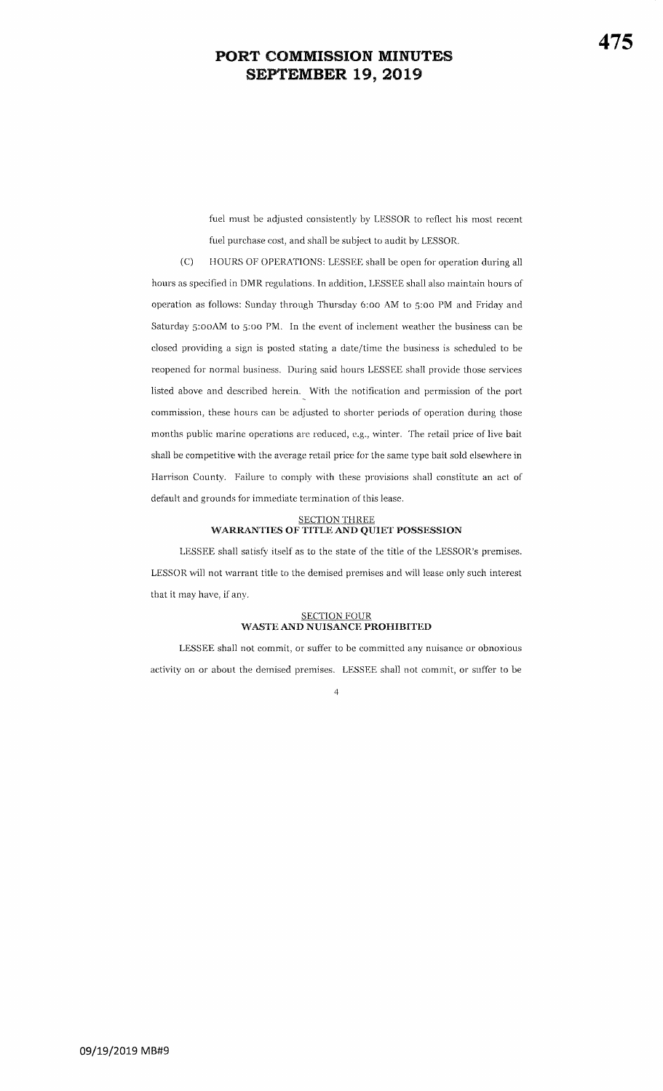fuel must be adjusted consistently by LESSOR to reflect his most recent fuel purchase cost, and shall be subject to audit by LESSOR.

 $(C)$ HOURS OF OPERATIONS: LESSEE shall be open for operation during all hours as specified in DMR regulations. In addition, LESSEE shall also maintain hours of operation as follows: Sunday through Thursday 6:00 AM to 5:00 PM and Friday and Saturday 5:00AM to 5:00 PM. In the event of inclement weather the business can be closed providing a sign is posted stating a date/time the business is scheduled to be reopened for normal business. During said hours LESSEE shall provide those services listed above and described herein. With the notification and permission of the port commission, these hours can be adjusted to shorter periods of operation during those months public marine operations are reduced, e.g., winter. The retail price of live bait shall be competitive with the average retail price for the same type bait sold elsewhere in Harrison County. Failure to comply with these provisions shall constitute an act of default and grounds for immediate termination of this lease.

## SECTION THREE<br>WARRANTIES OF TITLE AND QUIET POSSESSION

LESSEE shall satisfy itself as to the state of the title of the LESSOR's premises. LESSOR will not warrant title to the demised premises and will lease only such interest that it may have, if any.

## SECTION FOUR<br>WASTE AND NUISANCE PROHIBITED

LESSEE shall not commit, or suffer to be committed any nuisance or obnoxious activity on or about the demised premises. LESSEE shall not commit, or suffer to be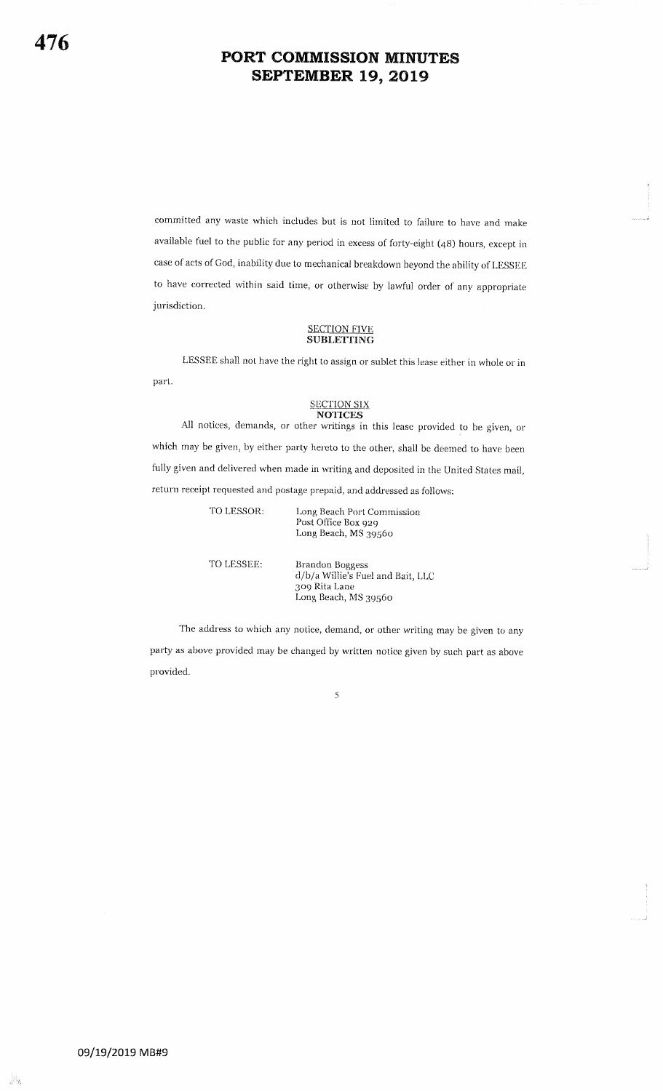committed any waste which includes but is not limited to failure to have and make available fuel to the public for any period in excess of forty-eight (4g) hours, except in case of acts of God, inability due to mechanical breakdown beyond the ability of LESSEE to have corrected within said time, or otherwise by lawful order of any appropriate jurisdiction.

#### SECTION FIVE SUBLETTING

LBSSEE shall not have the right to assign or sublet this lease either in whole or in part.

#### **SECTION SIX NOTICES**

AII notices, demands, or other writings in this lease provided to be given, or which may be given, by either party hereto to the other, shall be deemed to have been fully given and delivered when made in writing and deposited in the United States mail, return receipt requested and postage prepaid, and addressed as follows:

| TO LESSOR: | Long Beach Port Commission<br>Post Office Box 929<br>Long Beach, MS 39560                     |
|------------|-----------------------------------------------------------------------------------------------|
| TO LESSEE: | Brandon Boggess<br>d/b/a Willie's Fuel and Bait, LLC<br>309 Rita Lane<br>Long Beach, MS 39560 |

The address to which any notice, demand, or other writing may be given to any party as above provided may be changed by written notice given by such part as above provided.

5

frh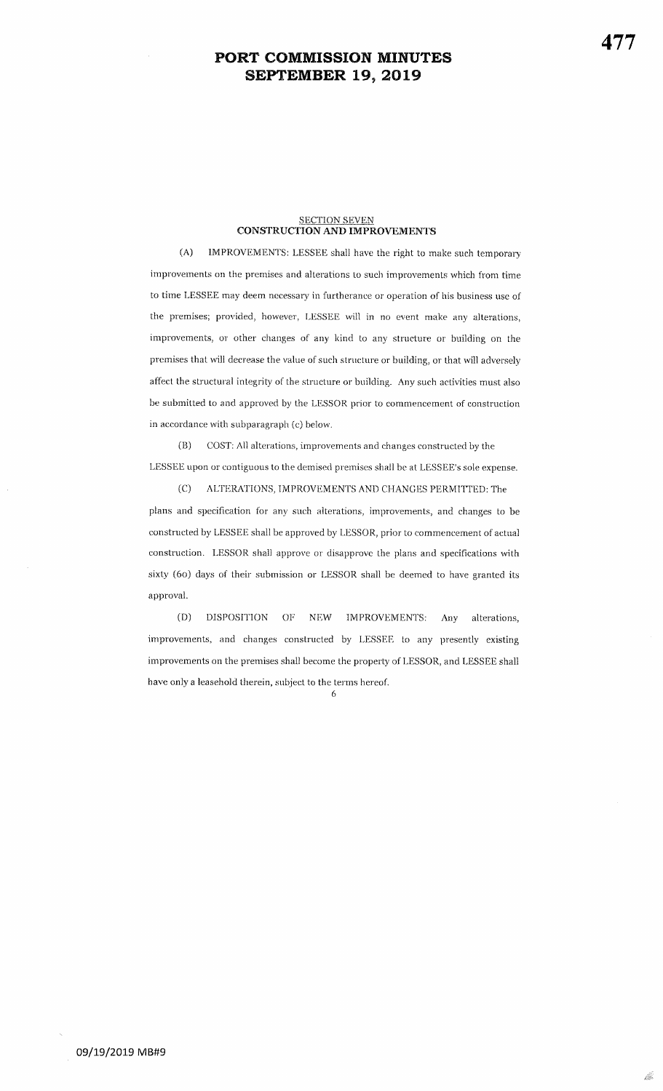## <u>SECTION SEVEN</u><br>CONSTRUCTION AND IMPROVEMENTS

(A) IMPROVEMENTS: LESSEE shall have the right to make such temporary improvements on the premises and alterations to such improvements which from time to time LESSEE may deem necessary in furtherance or operation of his business use of the premises; provided, however, LESSEE will in no event make any alterations, improvements, or other changes of any kind to any structure or building on thepremises that will decrease the value of such structure or building, or that will adversely affect the structural integrity of the structure or building. Any such activities must alsobe submitted to and approved by the LESSOR prior to commencement of construction in accordance with subparagraph (c) beiow.

(B) COST: All alterations, improvements and changes constructed by the LESSEE upon or contiguous to the demised premises shall be at LESSEE's sole expense.

(C) ALTERATIONS, IMPROVEMENTS AND CHANGES PERMITTED: The plans and specification for any such alterations, improvements, and changes to beconstructed by LESSEE shall be approved by LESSOR, prior to commencement of actual construction. LESSOR shall approve or disapprove the pians and specifications withsixty (60) days of their submission or LESSOR shall be deemed to have granted itsapproval.

(D) DISPOSITION OF NEW IMPROVEMENTS: Any alterations, improvements, and changes constructed by LESSEE to any presently existing improvements on the premises shall become the property of LESSOR, and LESSEE shall have only a leasehold therein, subiect to the terms hereof.

6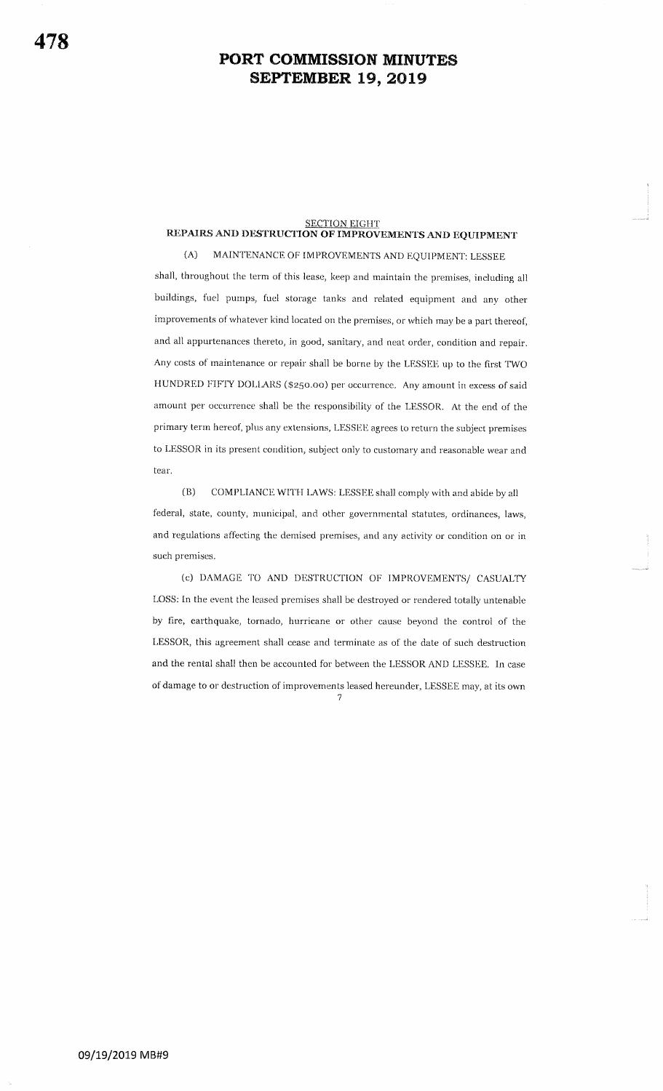# $\frac{\text{SECTION EIGHT}}{\text{REPAIRS AND DESTRUCTION OF IMPROVEMENTS AND EQUIPMENT}}$

 $(A)$ MAINTENANCE OF IMPROVEMENTS AND EQUIPMENT: LESSEE shall, throughout the term of this lease, keep and maintain the premises, including all buildings, fuel pumps, fuel storage tanks and related equipment and any other improvements of whatever kind located on the premises, or which may be a part thereof, and all appurtenances thereto, in good, sanitary, and neat order, condition and repair. Any costs of maintenance or repair shall be borne by the LESSEE up to the first TWO HUNDRED FIFTY DOLLARS (\$250.00) per occurrence. Any amount in excess of said amount per occurrence shall be the responsibility of the LESSOR. At the end of the primary term hereof, plus any extensions, LESSEE agrees to return the subject premises to LESSOR in its present condition, subject only to customary and reasonable wear and tear.

COMPLIANCE WITH LAWS: LESSEE shall comply with and abide by all  $(B)$ federal, state, county, municipal, and other governmental statutes, ordinances, laws, and regulations affecting the demised premises, and any activity or condition on or in such premises.

(c) DAMAGE TO AND DESTRUCTION OF IMPROVEMENTS/ CASUALTY LOSS: In the event the leased premises shall be destroyed or rendered totally untenable by fire, earthquake, tornado, hurricane or other cause beyond the control of the LESSOR, this agreement shall cease and terminate as of the date of such destruction and the rental shall then be accounted for between the LESSOR AND LESSEE. In case of damage to or destruction of improvements leased hereunder, LESSEE may, at its own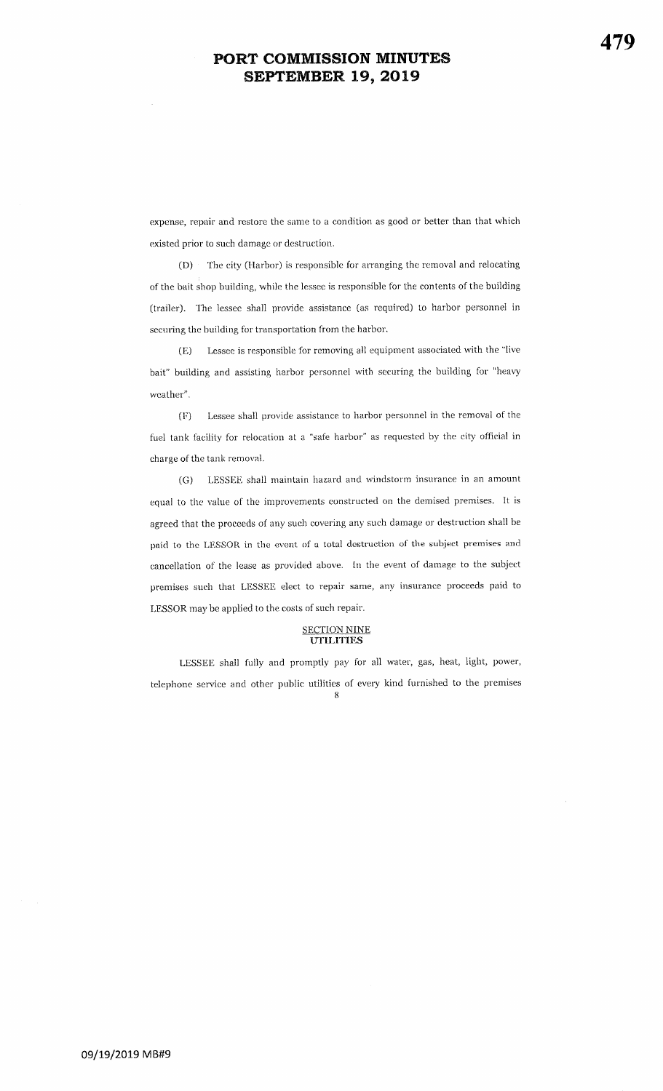expense, repair and restore the same to a condition as good or better than that whichexisted prior to such damage or destruction.

(D) The city (Harbor) is responsible for arranging the removal and relocating of the bait shop building, while the lessee is responsible for the contents of the building (trailer). The lessee shall provide assistance (as required) to harbor personnel in securing the building for transportation from the harbor.

(E) Lessee is responsiblc for removing all equipment associated with the "livebait" building and assisting harbor personnel with securing the building for "heavy weather".

(F) Lessee shall provide assistance to harbor personnel in the removal of the fuel tank facility for relocation at a "safe harbor" as requested by the city official in charge of the tank removal^

(G) LESSEE shall maintain hazard and windstorm insurance in an amount equal to the value of the inrprovements constructed on the demised premises. It isagreed that the proceeds of any such covering any such damage or destruction shall bepaid to the LESSOR in the event of a total destruction of the subject premises and cancellation of the lease as provided above. In the event of damage to the subject premises such that LESSEE elect to repair same, any insurance proceeds paid to LESSOR may be applied to the costs of such repair.

#### SECTION NINEUTILITIES

LESSEE shall fully and promptly pay for all water, gas, heat, light, power, telephone serice and other pubiic utilities of every kind furnished to the premises $\mathbf{B}$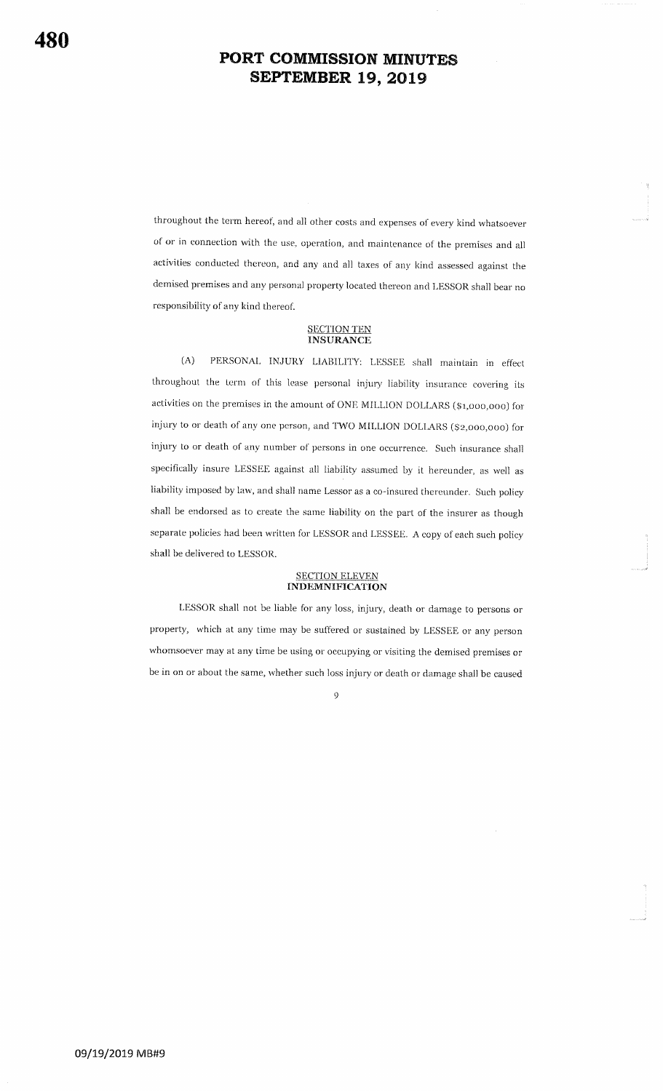throughout the term hereof, and all other costs and expenses of every kind whatsoever of or in connection with the use, operation, and maintenance of the premises and all activities conducted thereon, and any and all taxes of any kind assessed against the demised premises and any personal property located thereon and LESSOR shall bear no responsibility of any kind thereof.

## **SECTION TEN**<br>**INSURANCE**

PERSONAL INJURY LIABILITY: LESSEE shall maintain in effect  $(A)$ throughout the term of this lease personal injury liability insurance covering its activities on the premises in the amount of ONE MILLION DOLLARS (\$1,000,000) for injury to or death of any one person, and TWO MILLION DOLLARS (\$2,000,000) for injury to or death of any number of persons in one occurrence. Such insurance shall specifically insure LESSEE against all liability assumed by it hereunder, as well as liability imposed by law, and shall name Lessor as a co-insured thereunder. Such policy shall be endorsed as to create the same liability on the part of the insurer as though separate policies had been written for LESSOR and LESSEE. A copy of each such policy shall be delivered to LESSOR.

## SECTION ELEVEN<br>INDEMNIFICATION

LESSOR shall not be liable for any loss, injury, death or damage to persons or property, which at any time may be suffered or sustained by LESSEE or any person whomsoever may at any time be using or occupying or visiting the demised premises or be in on or about the same, whether such loss injury or death or damage shall be caused

 $\ddot{Q}$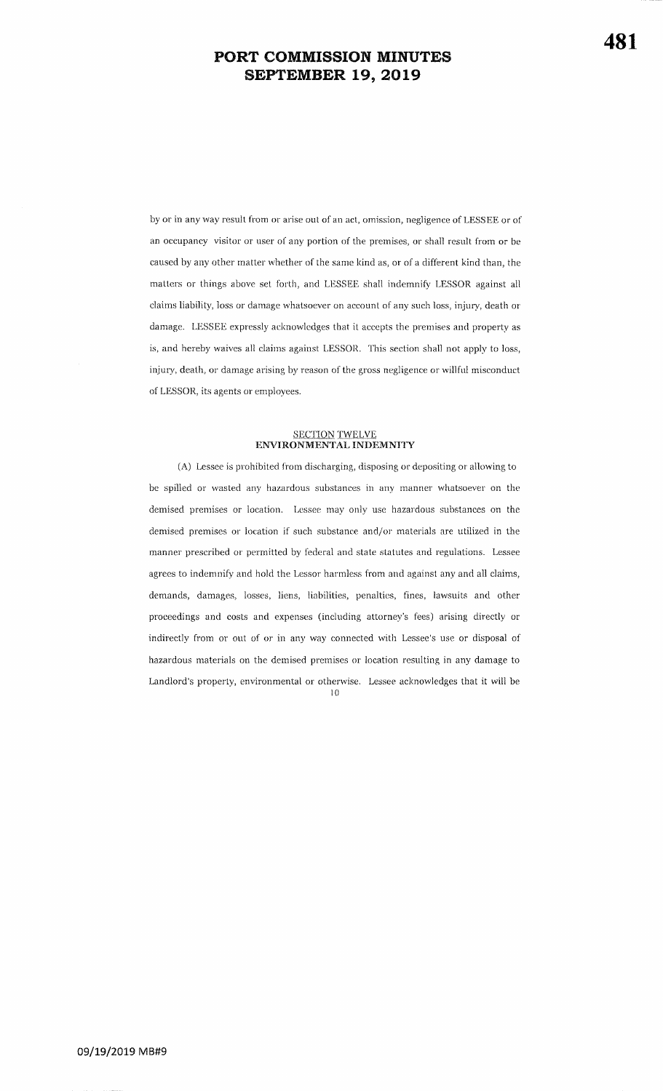by or in any way result from or arise out of an act, omission, negligence of LESSEE or of an occupancy visitor or user of any portion of the premises, or shall result from or becaused by any other matter whether of the same kind as, or of a different kind than, the matters or things above set forth, and LESSEE shall indemnify LESSOR against all claims liability, loss or damage whatsoever on account of any such loss, injury, death or damage. LESSEE expressly acknowledges that it accepts the premises and property as is, and hereby waives all claims against LESSOR. This section shall not apply to loss, injury, death, or damage arising by reason of the gross negligence or willful misconduct of LESSOR, its agents or employees.

## SECTION TWELVE<br>ENVIRONMENTAL INDEMNITY

(A) Lessee is prohibited from discharging, disposing or depositing or allowing to be spilled or wasted any hazardous substances in any manner whatsoever on thedemised premises or location. Lessee may only use hazardous substances on the demised premises or location if such substance and/or materials are utilized in the manner prescribed or permitted by federal and state statutes and regulations. Lessee agrees to indemnify and hold the Lessor harmless from and against any and all claims, demands, damages, losses, liens, liabilities, penalties, fines, lawsuits and other proceedings and costs and expenses (including attorney's fees) arising directly or indirectly from or out of or in any way connected with Lessee's use or disposal ofhazardous materials on the demised premises or location resulting in any damage to Landlord's properfy, environmental or otherwise. Lessee acknowledges that it will ber0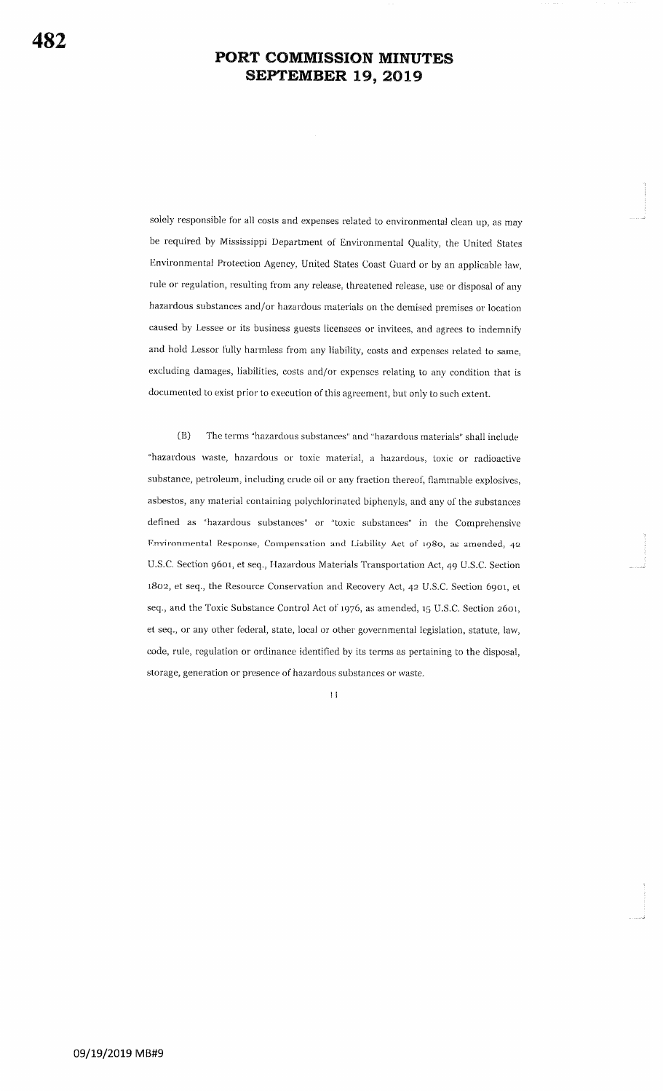solely responsible for all costs and expenses related to environmental clean up, as may be required by Mississippi Department of Environmental Quality, the United States Environmental Protection Agency, United States Coast Guard or by an applicable law, rule or regulation, resulting from any release, threatened release, use or disposal of any hazardous substances and/or hazardous materials on the demised premises or location caused by Lessee or its business guests licensees or invitees, and agrees to indemnify and hold Lessor fully harmless from any liability, costs and expenses related to same, excluding damages, liabilities, costs and/or expenses relating to any condition that is documented to exist prior to execution of this agreement, but only to such extent.

 $(B)$ The terms "hazardous substances" and "hazardous materials" shall include "hazardous waste, hazardous or toxic material, a hazardous, toxic or radioactive substance, petroleum, including crude oil or any fraction thereof, flammable explosives, asbestos, any material containing polychlorinated biphenyls, and any of the substances defined as "hazardous substances" or "toxic substances" in the Comprehensive Environmental Response, Compensation and Liability Act of 1980, as amended, 42 U.S.C. Section 9601, et seq., Hazardous Materials Transportation Act, 49 U.S.C. Section 1802, et seq., the Resource Conservation and Recovery Act, 42 U.S.C. Section 6901, et seq., and the Toxic Substance Control Act of 1976, as amended, 15 U.S.C. Section 2601, et seq., or any other federal, state, local or other governmental legislation, statute, law, code, rule, regulation or ordinance identified by its terms as pertaining to the disposal, storage, generation or presence of hazardous substances or waste.

 $11$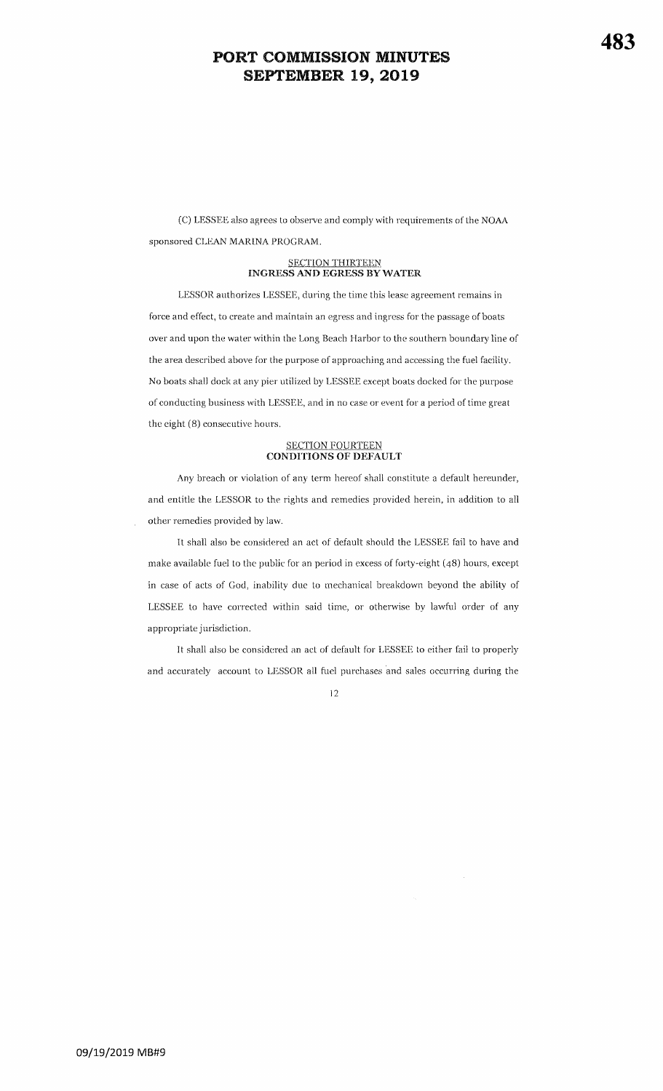(C) LESSEE also agrees to observe and comply with requirements of the NOAA sponsored CLEAN MARINA PROGRAM.

#### SECTION THIRTEEN INGRESS AND EGRESS BY WATER

LESSOR authorizes LESSEE, during the time this lease agreement remains in force and effect, to create and maintain an egress and ingress for the passage of boats over and upon the water within the Long Beach Harbor to the southern boundary line of the area described above for the purpose of approaching and accessing the fuel facility. No boats shall dock at any pier utilized by LESSEE except boats docked for the purpose of conducting business with LESSEE, and in no case or event for a period of time great the eight (8) consecutive hours.

## <u>SECTION FOURTEEN</u><br>CONDITIONS OF DEFAULT

Any breach or violation of any term hereof shall constitute a detault hereunder,and entitle the LESSOR to the rights and remedies provided herein, in addition to all other remedies provided by law.

It shall also be considered an act of default should the LESSEE fail to have andmake available fuel to the public for an period in excess of forty-eight  $(48)$  hours, except in case of acts of God, inability due to mechanical breakdown beyond the ability ofLESSEE to have corrected within said time, or otherwise by lawful order of any appropriate jurisdiction.

It shall also be considered an act of default for LESSEE to either fail to properly and accurately account to LESSOR all fuel purchases and sales occurring during the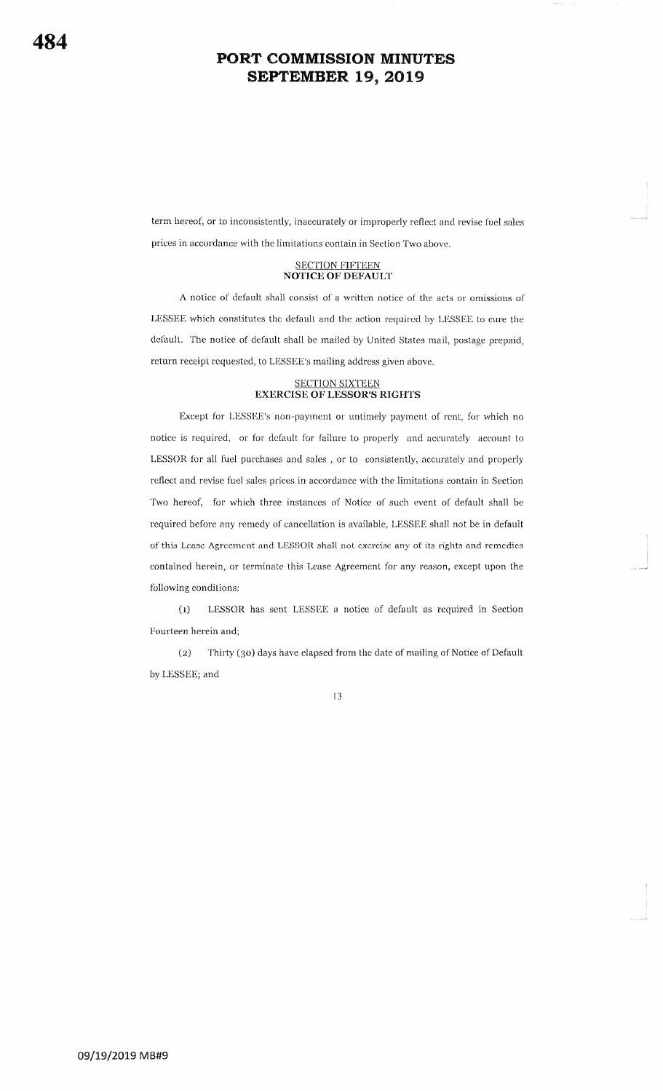term hereof, or to inconsistently, inaccurately or improperly reflect and revise fuel sales prices in accordance with the limitations contain in Section Two above.

#### SECTION FIFTEEN NOTICE OF DEFAULT

A notice of default shall consist of a written notice of the acts or omissions of LESSEE which constitutes the default and the action required by LESSEE to cure the default. The notice of default shall be mailed by United States mail, postage prepaid, return receipt requested, to LESSEE's mailing address given above.

#### SECTION SIXTEEN EXERCISE OF LESSOR'S RIGHTS

Except for LESSEE's non-payment or untimely payment of rent, for which no notice is required, or for default for failure to properly and accurately account to LESSOR for all fuel purchases and sales , or to consistently, accurately and properly reflect and revise fuel sales prices in accordance with the limitations contain in Section Two hereof, for which three instances of Notice of such event of default shall be required before any remedy of cancellation is available, LESSEE shall not be in default of this Lease Agreement and LESSOR shall not exercise any of its rights and remedies contained herein, or terminate this Lease Agreement for any reason, except upon the following conditions:

(1) LESSOR has sent LESSEE a notice of default as required in Section Fourteen herein and;

(2) Thirty (30) days have elapsed from the date of mailing of Notice of Default by LESSEE; and

 $13$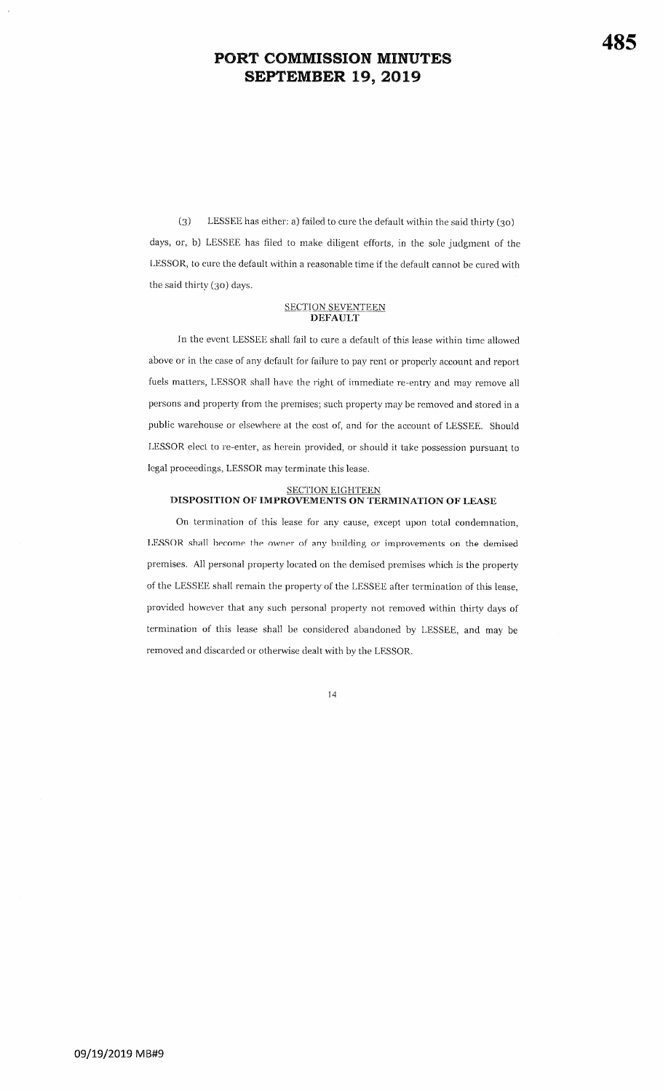(3) LESSEE has either; a) failed to cure the default within the said thirty (30) days, or, b) LESSEE has filed to make diligent efforts, in the sole judgment of the LESSOR, to cure the default within a reasonable time if the default cannot be cured with the said thirty (3o) days.

## <u>SECTION SEVENTEEN</u><br>DEFAULT

In the event LESSEE shall fail to cure a default of this lease within time allowed above or in the case of any default for failure to pay rent or properly account and report fuels matters, LESSOR shall have the right of immediate re-entry and may remove all persons and property from the premises; such property may be removed and stored in a public warehouse or elsewhere at the cost of, and for the account of LESSEE. Should LESSOR elect to re-enter, as herein provided, or should it take possession pursuant to legal proceedings, LESSOR mav terminate this lease.

## <u>SECTION EIGHTEEN</u><br>DISPOSITION OF IMPROVEMENTS ON TERMINATION OF LEASE

On termination of this lease for any cause, except upon total condemnation LESSOR shall become the owner of any building or improvements on the demised premises. All personal property located on the demised premises which is the property of the LESSEE shall remain the property of the LESSEE after termination of this lease, provided however that any such personal property not removed within thirty days oftermination of this lease shall be considered abandoned by LESSEE, and may be removed and discarded or otherwise dealt with by the LESSOR^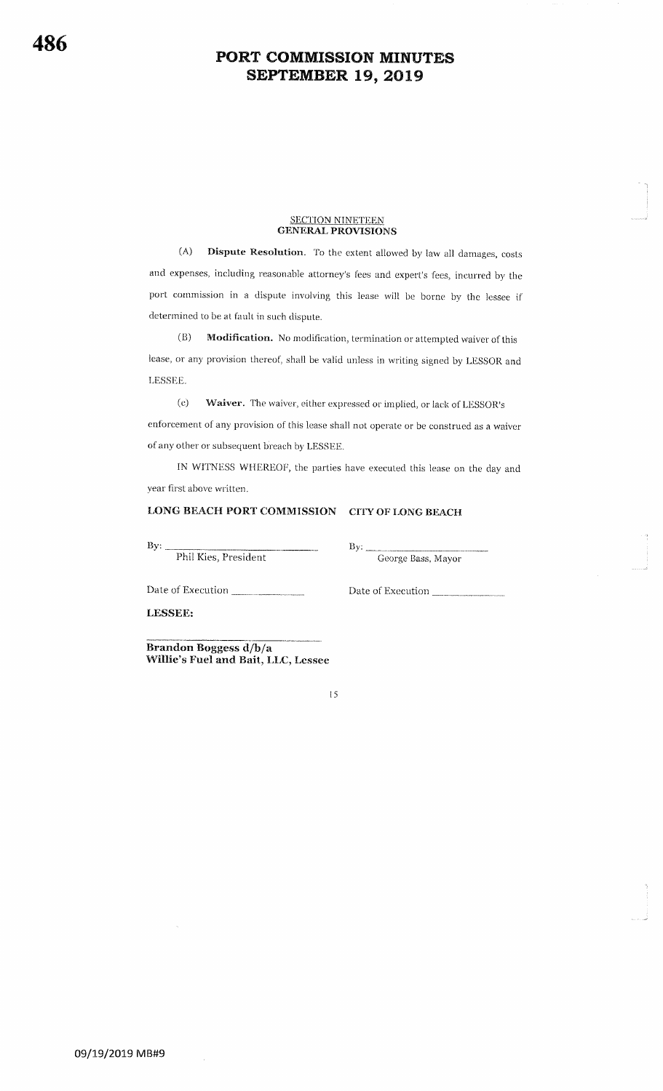#### <u>SECTION NINETEEN</u> GENERAL PROVISIONS

(A) Dispute Resolution. To the extent allowed by law all damages, costs and expenses, including reasonable attorney's fees and expert's fees, incurred by the port commission in a dispute involving this lease will be borne by the lessee if determined to be at fault in such dispute.

(B) Modification. No modification, termination or attempted waiver of this lease, or any provision thereof, shall be valid unless in writing signed by LESSOR and LESSEE.

(c) Waiver. The waiver, either expressed or implied, or lack of LESSOR's enforcement of any provision of this lease shall not operate or be construed as a waiver of any other or subsequent breach by LESSEE.

IN WITNESS WHEREOF, the parties have executed this lease on the day and year first above written.

### LONG BEACH PORT COMMISSION CITY OF LONG BEACH

 $\mathbf{By:}$   $\qquad \qquad \mathbf{By}$ Phil Kies, President

George Bass, Mayor

-l l

\*"-.i

Date of Execution

Date of Execution

LESSEE:

Brandon Boggess d/h/a Willie's Fuel and Bait, LLC, Lessee

I5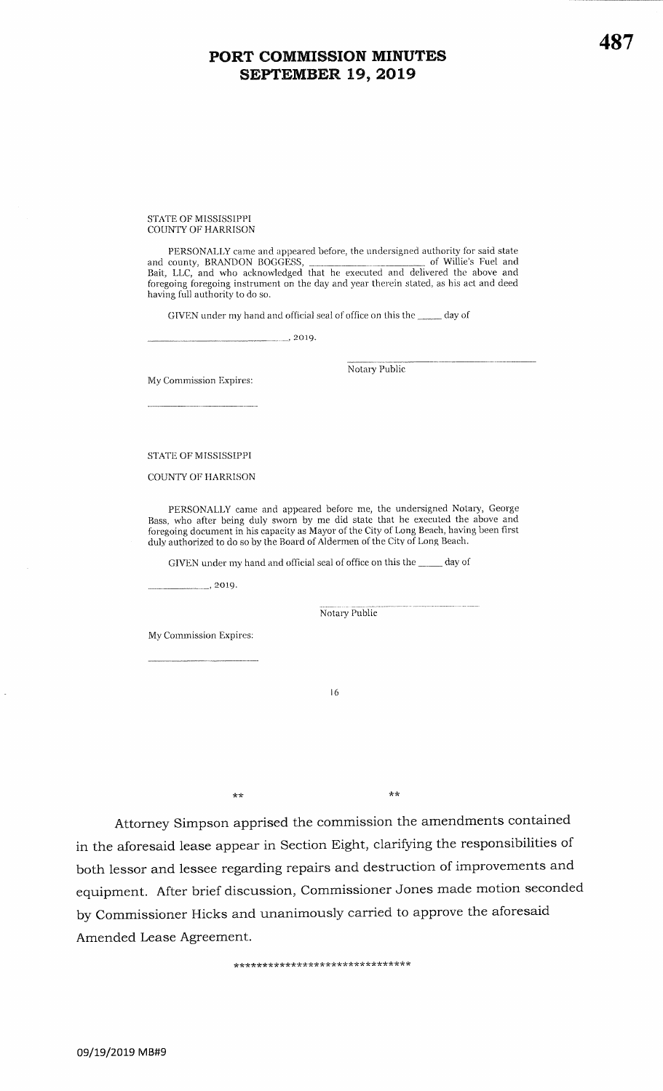STATE OF MISSiSSIPPICOUNTY OF HARRISON

PERSONALLY came and appeared before, the undersigned authority for said state of Willie's Fuel and and county, BRANDON BOGGESS, Bait, LLC, and who acknowledged that he executed and delivered the above andforegoing foregoing instrument on the day and year therein stated, as his act and deed having full authority to do so.

GIVEN under my hand and official seal of office on this the \_\_\_\_ day of

 $\frac{2019}{.}$ 

My Commission Expires:

Notary Public

STATE OF MISSISSIPPI

COUNTY OF HARRISON

PERSONALLY came and appeared before me, the undersigned Notary, George Bass, who after being duly sworn by me did state that he executed the above and foregoing document in his capacity as Mayor of the City of Long Beach, having been first duly authorized to do so by the Board of Aldermen of the City of Long Beach.

GIVEN under my hand and official seal of office on this the \_\_\_\_\_ day of

 $\frac{1}{2019}$ .

Notary Public

My Commission Expires:

l6

\*\*

Attorney Simpson apprised the commission the amendments contained in the aforesaid lease appear in Section Eight, clarifying the responsibilities of both lessor and lessee regarding repairs and destruction of improvements andequipment. After brief discussion, Commissioner Jones made motion seconded by Commissioner Hicks and unanimously carried to approve the aforesaidAmended Lease Agreement.

\*\*

\*\*\*\*\*\*\*\*\*\*\*\*\*\*\*\*\*\*\*\*\*\*\*\*\*\*\*\*\*\*\*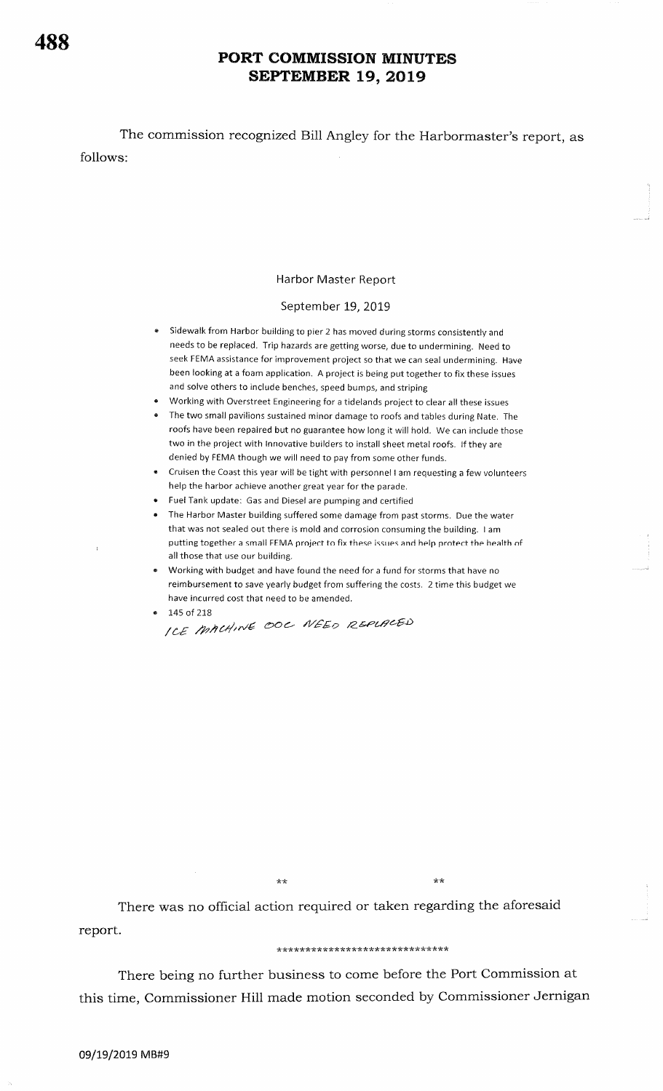follows: The commission recognized Bill Angley for the Harbormaster's report, as

### Harbor Master Report

### September 19, 2019

- a sidewalk from Harbor building to pier 2 has moved during storms consistently and needs to be replaced. Trip hazards are getting worse, due to undermining. Need to seek FEMA assistance for improvement project so that we can seal undermining. Have been looking at a foam application. A project is being put together to fix these issues and solve others to include benches, speed bumps, and striping
- a Working with Overstreet Engineering for a tidelands project to clear all these issues
- a The two small pavilions sustained minor damage to roofs and tables during Nate, The roofs have been repaired but no guarantee how long it will hold. We can include those two in the project with lnnovative builders to install sheet metal roofs. lf they are denied by FEMA though we will need to pay from some other funds.
- Cruisen the Coast this year will be tight with personnel I am requesting a few volunteers help the harbor achieve another great year for the parade. a
- Fuel Tank update: Gas and Diesei are pumping and certified a
- The Harbor Master building suffered some damage from past storms. Due the water a that was not sealed out there is mold and corrosion consuming the building. <sup>I</sup>am putting together a small FEMA project to fix these issues and help protect the health of all those that use our building.
- $\bullet$   $\;\;$  Working with budget and have found the need for a fund for storms that have no reimbursement to save yearly budget from suffering the costs. 2 time this budget we have incurred cost that need to be amended.

... .J

a 145 of 218 /LE htcdtlvd oo€- r|/EEp A\*PaA&EJ)

 $\star$ 

\*\*

There was no official action required or taken regarding the aforesaid report.

#### \*\*\*\*\*\*\*\*\*\*\*\*\*\*\*\*\*\*\*\*\*\*\*\*\*\*\*\*\*\*

There being no further business to come before the Port Commission at this time, Commissioner Hill made motion seconded by Commissioner Jernigan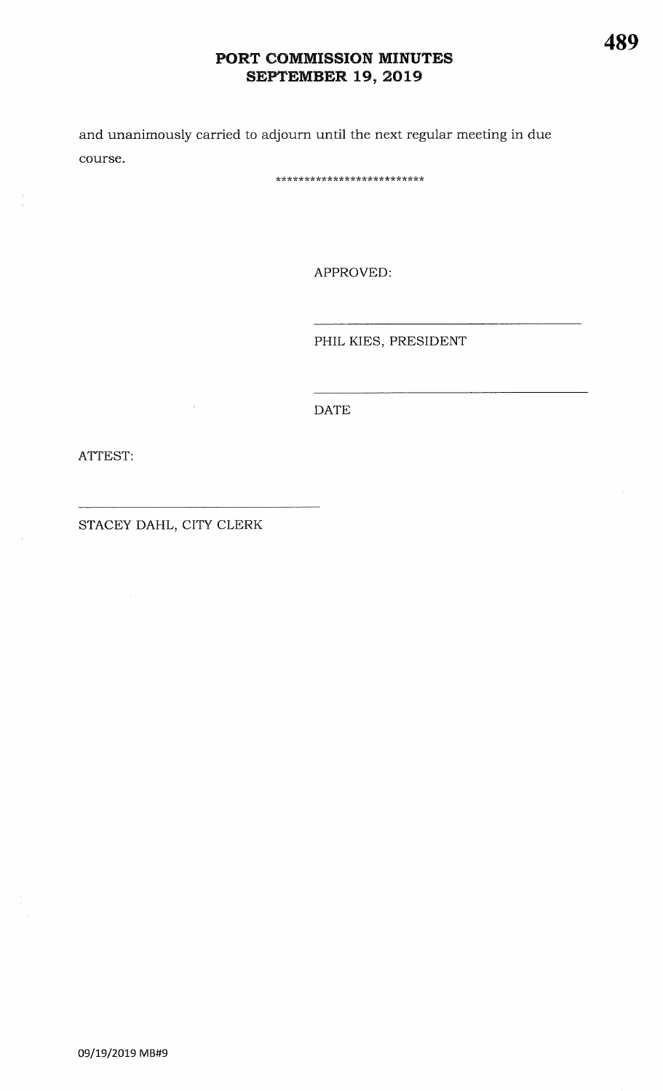and unanimously carried to adjourn until the next regular meeting in due course.

\*\*\*\*\*\*\*\*\*\*\*\*\*\*\*\*\*\*\*\*\*\*\*\*\*\*

APPROVED:

PHIL KIES, PRESIDENT

**DATE** 

ATTEST:

STACEY DAHL, CITY CLERK